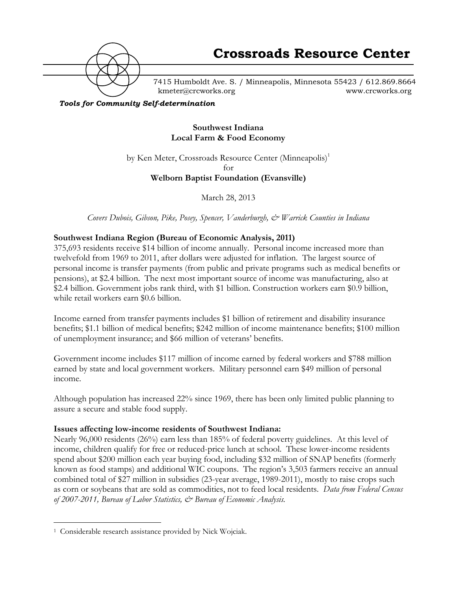

7415 Humboldt Ave. S. / Minneapolis, Minnesota 55423 / 612.869.8664 kmeter@crcworks.org www.crcworks.org

*Tools for Community Self-determination*

### **Southwest Indiana Local Farm & Food Economy**

by Ken Meter, Crossroads Resource Center (Minneapolis)<sup>1</sup> for

**Welborn Baptist Foundation (Evansville)**

March 28, 2013

*Covers Dubois, Gibson, Pike, Posey, Spencer, Vanderburgh, & Warrick Counties in Indiana*

## **Southwest Indiana Region (Bureau of Economic Analysis, 2011)**

375,693 residents receive \$14 billion of income annually. Personal income increased more than twelvefold from 1969 to 2011, after dollars were adjusted for inflation. The largest source of personal income is transfer payments (from public and private programs such as medical benefits or pensions), at \$2.4 billion. The next most important source of income was manufacturing, also at \$2.4 billion. Government jobs rank third, with \$1 billion. Construction workers earn \$0.9 billion, while retail workers earn \$0.6 billion.

Income earned from transfer payments includes \$1 billion of retirement and disability insurance benefits; \$1.1 billion of medical benefits; \$242 million of income maintenance benefits; \$100 million of unemployment insurance; and \$66 million of veterans' benefits.

Government income includes \$117 million of income earned by federal workers and \$788 million earned by state and local government workers. Military personnel earn \$49 million of personal income.

Although population has increased 22% since 1969, there has been only limited public planning to assure a secure and stable food supply.

#### **Issues affecting low-income residents of Southwest Indiana:**

Nearly 96,000 residents (26%) earn less than 185% of federal poverty guidelines. At this level of income, children qualify for free or reduced-price lunch at school. These lower-income residents spend about \$200 million each year buying food, including \$32 million of SNAP benefits (formerly known as food stamps) and additional WIC coupons. The region's 3,503 farmers receive an annual combined total of \$27 million in subsidies (23-year average, 1989-2011), mostly to raise crops such as corn or soybeans that are sold as commodities, not to feed local residents. *Data from Federal Census of 2007-2011, Bureau of Labor Statistics, & Bureau of Economic Analysis.*

 <sup>1</sup> Considerable research assistance provided by Nick Wojciak.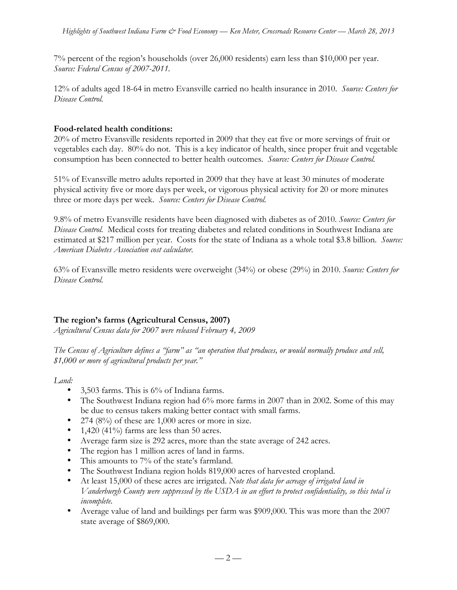7% percent of the region's households (over 26,000 residents) earn less than \$10,000 per year. *Source: Federal Census of 2007-2011.*

12% of adults aged 18-64 in metro Evansville carried no health insurance in 2010. *Source: Centers for Disease Control.*

## **Food-related health conditions:**

20% of metro Evansville residents reported in 2009 that they eat five or more servings of fruit or vegetables each day. 80% do not. This is a key indicator of health, since proper fruit and vegetable consumption has been connected to better health outcomes. *Source: Centers for Disease Control.*

51% of Evansville metro adults reported in 2009 that they have at least 30 minutes of moderate physical activity five or more days per week, or vigorous physical activity for 20 or more minutes three or more days per week. *Source: Centers for Disease Control.*

9.8% of metro Evansville residents have been diagnosed with diabetes as of 2010. *Source: Centers for Disease Control.* Medical costs for treating diabetes and related conditions in Southwest Indiana are estimated at \$217 million per year. Costs for the state of Indiana as a whole total \$3.8 billion. *Source: American Diabetes Association cost calculator.*

63% of Evansville metro residents were overweight (34%) or obese (29%) in 2010. *Source: Centers for Disease Control.*

## **The region's farms (Agricultural Census, 2007)**

*Agricultural Census data for 2007 were released February 4, 2009*

*The Census of Agriculture defines a "farm" as "an operation that produces, or would normally produce and sell, \$1,000 or more of agricultural products per year."*

## *Land:*

- 3,503 farms. This is 6% of Indiana farms.
- The Southwest Indiana region had 6% more farms in 2007 than in 2002. Some of this may be due to census takers making better contact with small farms.
- 274  $(8\%)$  of these are 1,000 acres or more in size.
- 1,420 (41%) farms are less than 50 acres.
- Average farm size is 292 acres, more than the state average of 242 acres.
- The region has 1 million acres of land in farms.
- This amounts to 7% of the state's farmland.
- The Southwest Indiana region holds 819,000 acres of harvested cropland.
- At least 15,000 of these acres are irrigated. *Note that data for acreage of irrigated land in Vanderburgh County were suppressed by the USDA in an effort to protect confidentiality, so this total is incomplete.*
- Average value of land and buildings per farm was \$909,000. This was more than the 2007 state average of \$869,000.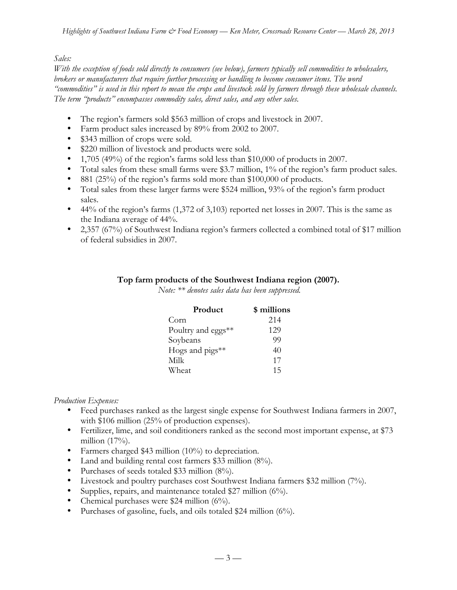#### *Sales:*

*With the exception of foods sold directly to consumers (see below), farmers typically sell commodities to wholesalers, brokers or manufacturers that require further processing or handling to become consumer items. The word "commodities" is used in this report to mean the crops and livestock sold by farmers through these wholesale channels. The term "products" encompasses commodity sales, direct sales, and any other sales.*

- The region's farmers sold \$563 million of crops and livestock in 2007.
- Farm product sales increased by 89% from 2002 to 2007.
- \$343 million of crops were sold.
- \$220 million of livestock and products were sold.
- 1,705 (49%) of the region's farms sold less than \$10,000 of products in 2007.
- Total sales from these small farms were \$3.7 million, 1% of the region's farm product sales.
- 881 (25%) of the region's farms sold more than \$100,000 of products.
- Total sales from these larger farms were \$524 million, 93% of the region's farm product sales.
- 44% of the region's farms  $(1,372 \text{ of } 3,103)$  reported net losses in 2007. This is the same as the Indiana average of 44%.
- 2,357 (67%) of Southwest Indiana region's farmers collected a combined total of \$17 million of federal subsidies in 2007.

#### **Top farm products of the Southwest Indiana region (2007).**

*Note: \*\* denotes sales data has been suppressed.*

| Product                     | \$ millions |
|-----------------------------|-------------|
| Corn                        | 214         |
| Poultry and eggs**          | 129         |
| Soybeans                    | 99          |
| Hogs and $\text{pigs}_{**}$ | 40          |
| Milk                        | 17          |
| Wheat                       | 15          |

#### *Production Expenses:*

- Feed purchases ranked as the largest single expense for Southwest Indiana farmers in 2007, with \$106 million (25% of production expenses).
- Fertilizer, lime, and soil conditioners ranked as the second most important expense, at \$73 million  $(17%)$ .
- Farmers charged \$43 million (10%) to depreciation.
- Land and building rental cost farmers \$33 million (8%).
- Purchases of seeds totaled \$33 million (8%).
- Livestock and poultry purchases cost Southwest Indiana farmers \$32 million (7%).
- Supplies, repairs, and maintenance totaled \$27 million (6%).
- Chemical purchases were \$24 million (6%).
- Purchases of gasoline, fuels, and oils totaled \$24 million (6%).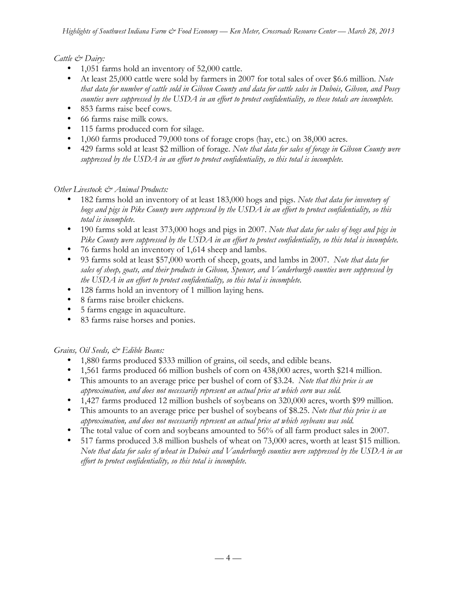## *Cattle & Dairy:*

- 1,051 farms hold an inventory of 52,000 cattle.
- At least 25,000 cattle were sold by farmers in 2007 for total sales of over \$6.6 million. *Note that data for number of cattle sold in Gibson County and data for cattle sales in Dubois, Gibson, and Posey counties were suppressed by the USDA in an effort to protect confidentiality, so these totals are incomplete.*
- 853 farms raise beef cows.
- 66 farms raise milk cows.
- 115 farms produced corn for silage.
- 1,060 farms produced 79,000 tons of forage crops (hay, etc.) on 38,000 acres.
- 429 farms sold at least \$2 million of forage. *Note that data for sales of forage in Gibson County were suppressed by the USDA in an effort to protect confidentiality, so this total is incomplete.*

### *Other Livestock & Animal Products:*

- 182 farms hold an inventory of at least 183,000 hogs and pigs. *Note that data for inventory of hogs and pigs in Pike County were suppressed by the USDA in an effort to protect confidentiality, so this total is incomplete.*
- 190 farms sold at least 373,000 hogs and pigs in 2007. *Note that data for sales of hogs and pigs in Pike County were suppressed by the USDA in an effort to protect confidentiality, so this total is incomplete.*
- 76 farms hold an inventory of 1,614 sheep and lambs.
- 93 farms sold at least \$57,000 worth of sheep, goats, and lambs in 2007. *Note that data for sales of sheep, goats, and their products in Gibson, Spencer, and Vanderburgh counties were suppressed by the USDA in an effort to protect confidentiality, so this total is incomplete.*
- 128 farms hold an inventory of 1 million laying hens*.*
- 8 farms raise broiler chickens.
- 5 farms engage in aquaculture.
- 83 farms raise horses and ponies.

## *Grains, Oil Seeds, & Edible Beans:*

- 1,880 farms produced \$333 million of grains, oil seeds, and edible beans.
- 1,561 farms produced 66 million bushels of corn on 438,000 acres, worth \$214 million.
- This amounts to an average price per bushel of corn of \$3.24. *Note that this price is an approximation, and does not necessarily represent an actual price at which corn was sold.*
- 1,427 farms produced 12 million bushels of soybeans on 320,000 acres, worth \$99 million.
- This amounts to an average price per bushel of soybeans of \$8.25. *Note that this price is an approximation, and does not necessarily represent an actual price at which soybeans was sold.*
- The total value of corn and soybeans amounted to 56% of all farm product sales in 2007.
- 517 farms produced 3.8 million bushels of wheat on 73,000 acres, worth at least \$15 million. *Note that data for sales of wheat in Dubois and Vanderburgh counties were suppressed by the USDA in an effort to protect confidentiality, so this total is incomplete.*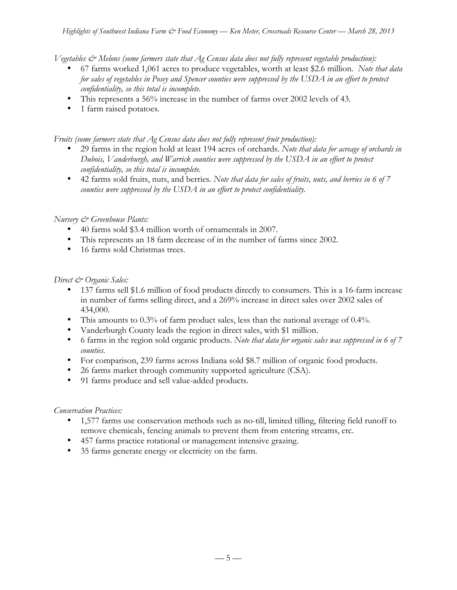*Vegetables & Melons (some farmers state that Ag Census data does not fully represent vegetable production):*

- 67 farms worked 1,061 acres to produce vegetables, worth at least \$2.6 million. *Note that data for sales of vegetables in Posey and Spencer counties were suppressed by the USDA in an effort to protect confidentiality, so this total is incomplete.*
- This represents a 56% increase in the number of farms over 2002 levels of 43.
- 1 farm raised potatoes*.*

*Fruits (some farmers state that Ag Census data does not fully represent fruit production):*

- 29 farms in the region hold at least 194 acres of orchards. *Note that data for acreage of orchards in Dubois, Vanderburgh, and Warrick counties were suppressed by the USDA in an effort to protect confidentiality, so this total is incomplete.*
- 42 farms sold fruits, nuts, and berries*. Note that data for sales of fruits, nuts, and berries in 6 of 7 counties were suppressed by the USDA in an effort to protect confidentiality.*

#### *Nursery & Greenhouse Plants:*

- 40 farms sold \$3.4 million worth of ornamentals in 2007.
- This represents an 18 farm decrease of in the number of farms since 2002.
- 16 farms sold Christmas trees.

#### *Direct & Organic Sales:*

- 137 farms sell \$1.6 million of food products directly to consumers. This is a 16-farm increase in number of farms selling direct, and a 269% increase in direct sales over 2002 sales of 434,000.
- This amounts to 0.3% of farm product sales, less than the national average of 0.4%.
- Vanderburgh County leads the region in direct sales, with \$1 million.
- 6 farms in the region sold organic products. *Note that data for organic sales was suppressed in 6 of 7 counties.*
- For comparison, 239 farms across Indiana sold \$8.7 million of organic food products.
- 26 farms market through community supported agriculture (CSA).
- 91 farms produce and sell value-added products.

#### *Conservation Practices:*

- 1,577 farms use conservation methods such as no-till, limited tilling, filtering field runoff to remove chemicals, fencing animals to prevent them from entering streams, etc.
- 457 farms practice rotational or management intensive grazing.
- 35 farms generate energy or electricity on the farm.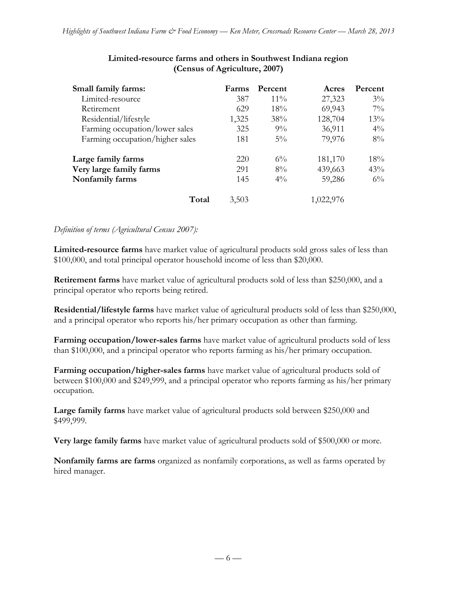| Small family farms:             | Farms | Percent | Acres     | Percent |
|---------------------------------|-------|---------|-----------|---------|
| Limited-resource                | 387   | $11\%$  | 27,323    | $3\%$   |
| Retirement                      | 629   | 18%     | 69,943    | $7\%$   |
| Residential/lifestyle           | 1,325 | 38%     | 128,704   | 13%     |
| Farming occupation/lower sales  | 325   | $9\%$   | 36,911    | $4\%$   |
| Farming occupation/higher sales | 181   | $5\%$   | 79,976    | $8\%$   |
| Large family farms              | 220   | $6\%$   | 181,170   | 18%     |
| Very large family farms         | 291   | $8\%$   | 439,663   | 43%     |
| Nonfamily farms                 | 145   | $4\%$   | 59,286    | $6\%$   |
| Total                           | 3,503 |         | 1,022,976 |         |

#### **Limited-resource farms and others in Southwest Indiana region (Census of Agriculture, 2007)**

#### *Definition of terms (Agricultural Census 2007):*

**Limited-resource farms** have market value of agricultural products sold gross sales of less than \$100,000, and total principal operator household income of less than \$20,000.

**Retirement farms** have market value of agricultural products sold of less than \$250,000, and a principal operator who reports being retired.

**Residential/lifestyle farms** have market value of agricultural products sold of less than \$250,000, and a principal operator who reports his/her primary occupation as other than farming.

**Farming occupation/lower-sales farms** have market value of agricultural products sold of less than \$100,000, and a principal operator who reports farming as his/her primary occupation.

**Farming occupation/higher-sales farms** have market value of agricultural products sold of between \$100,000 and \$249,999, and a principal operator who reports farming as his/her primary occupation.

**Large family farms** have market value of agricultural products sold between \$250,000 and \$499,999.

**Very large family farms** have market value of agricultural products sold of \$500,000 or more.

**Nonfamily farms are farms** organized as nonfamily corporations, as well as farms operated by hired manager.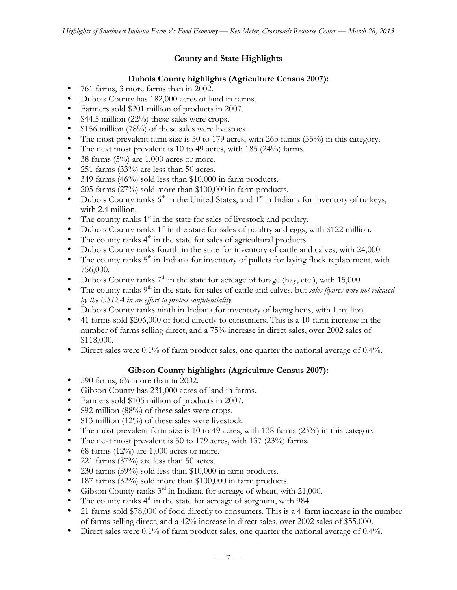## **County and State Highlights**

## **Dubois County highlights (Agriculture Census 2007):**

- 761 farms, 3 more farms than in 2002.
- Dubois County has 182,000 acres of land in farms.
- Farmers sold \$201 million of products in 2007.
- \$44.5 million (22%) these sales were crops.
- \$156 million (78%) of these sales were livestock.
- The most prevalent farm size is 50 to 179 acres, with 263 farms (35%) in this category.
- The next most prevalent is 10 to 49 acres, with 185 (24%) farms.
- 38 farms  $(5\%)$  are 1,000 acres or more.
- 251 farms (33%) are less than 50 acres.
- 349 farms (46%) sold less than \$10,000 in farm products.
- 205 farms (27%) sold more than \$100,000 in farm products.
- Dubois County ranks  $6<sup>th</sup>$  in the United States, and  $1<sup>st</sup>$  in Indiana for inventory of turkeys, with 2.4 million.
- The county ranks  $1<sup>st</sup>$  in the state for sales of livestock and poultry.
- Dubois County ranks  $1<sup>st</sup>$  in the state for sales of poultry and eggs, with \$122 million.
- The county ranks  $4<sup>th</sup>$  in the state for sales of agricultural products.
- Dubois County ranks fourth in the state for inventory of cattle and calves, with 24,000.
- The county ranks  $5<sup>th</sup>$  in Indiana for inventory of pullets for laying flock replacement, with 756,000.
- Dubois County ranks  $7<sup>th</sup>$  in the state for acreage of forage (hay, etc.), with 15,000.
- The county ranks 9<sup>th</sup> in the state for sales of cattle and calves, but *sales figures were not released by the USDA in an effort to protect confidentiality.*
- Dubois County ranks ninth in Indiana for inventory of laying hens, with 1 million.
- 41 farms sold \$206,000 of food directly to consumers. This is a 10-farm increase in the number of farms selling direct, and a 75% increase in direct sales, over 2002 sales of \$118,000.
- Direct sales were 0.1% of farm product sales, one quarter the national average of 0.4%.

# **Gibson County highlights (Agriculture Census 2007):**

- 590 farms, 6% more than in 2002.
- Gibson County has 231,000 acres of land in farms.
- Farmers sold \$105 million of products in 2007.
- \$92 million (88%) of these sales were crops.
- \$13 million (12%) of these sales were livestock.
- The most prevalent farm size is 10 to 49 acres, with 138 farms (23%) in this category.
- The next most prevalent is 50 to 179 acres, with 137 (23%) farms.
- 68 farms  $(12\%)$  are 1,000 acres or more.
- 221 farms (37%) are less than 50 acres.
- 230 farms (39%) sold less than \$10,000 in farm products.
- 187 farms (32%) sold more than \$100,000 in farm products.
- Gibson County ranks 3<sup>rd</sup> in Indiana for acreage of wheat, with 21,000.
- The county ranks  $4<sup>th</sup>$  in the state for acreage of sorghum, with 984.
- 21 farms sold \$78,000 of food directly to consumers. This is a 4-farm increase in the number of farms selling direct, and a 42% increase in direct sales, over 2002 sales of \$55,000.
- Direct sales were 0.1% of farm product sales, one quarter the national average of 0.4%.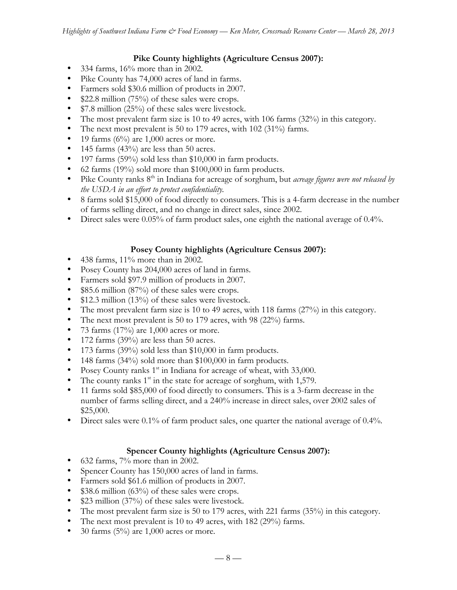### **Pike County highlights (Agriculture Census 2007):**

- 334 farms, 16% more than in 2002.
- Pike County has 74,000 acres of land in farms.
- Farmers sold \$30.6 million of products in 2007.
- \$22.8 million (75%) of these sales were crops.
- \$7.8 million (25%) of these sales were livestock.
- The most prevalent farm size is 10 to 49 acres, with 106 farms (32%) in this category.
- The next most prevalent is 50 to 179 acres, with 102 (31%) farms.
- 19 farms  $(6\%)$  are 1,000 acres or more.
- 145 farms (43%) are less than 50 acres.
- 197 farms (59%) sold less than \$10,000 in farm products.
- 62 farms (19%) sold more than \$100,000 in farm products.
- Pike County ranks 8<sup>th</sup> in Indiana for acreage of sorghum, but *acreage figures were not released by the USDA in an effort to protect confidentiality.*
- 8 farms sold \$15,000 of food directly to consumers. This is a 4-farm decrease in the number of farms selling direct, and no change in direct sales, since 2002.
- Direct sales were 0.05% of farm product sales, one eighth the national average of 0.4%.

## **Posey County highlights (Agriculture Census 2007):**

- 438 farms, 11% more than in 2002.
- Posey County has 204,000 acres of land in farms.
- Farmers sold \$97.9 million of products in 2007.
- \$85.6 million (87%) of these sales were crops.
- \$12.3 million (13%) of these sales were livestock.
- The most prevalent farm size is 10 to 49 acres, with 118 farms (27%) in this category.
- The next most prevalent is 50 to 179 acres, with 98 (22%) farms.
- 73 farms  $(17%)$  are 1,000 acres or more.
- 172 farms (39%) are less than 50 acres.
- 173 farms (39%) sold less than \$10,000 in farm products.
- 148 farms (34%) sold more than \$100,000 in farm products.
- Posey County ranks  $1<sup>st</sup>$  in Indiana for acreage of wheat, with 33,000.
- The county ranks  $1<sup>st</sup>$  in the state for acreage of sorghum, with 1,579.
- 11 farms sold \$85,000 of food directly to consumers. This is a 3-farm decrease in the number of farms selling direct, and a 240% increase in direct sales, over 2002 sales of \$25,000.
- Direct sales were 0.1% of farm product sales, one quarter the national average of 0.4%.

## **Spencer County highlights (Agriculture Census 2007):**

- 632 farms, 7% more than in 2002.
- Spencer County has 150,000 acres of land in farms.
- Farmers sold \$61.6 million of products in 2007.
- $$38.6$  million (63%) of these sales were crops.
- \$23 million (37%) of these sales were livestock.
- The most prevalent farm size is 50 to 179 acres, with 221 farms (35%) in this category.
- The next most prevalent is 10 to 49 acres, with 182 (29%) farms.
- 30 farms  $(5\%)$  are 1,000 acres or more.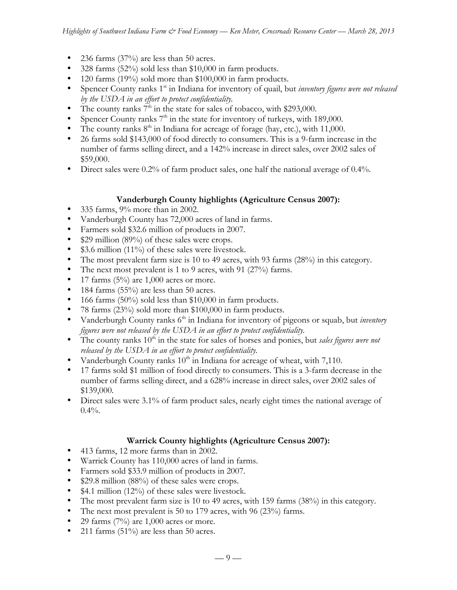- 236 farms  $(37%)$  are less than 50 acres.
- 328 farms (52%) sold less than \$10,000 in farm products.
- 120 farms (19%) sold more than \$100,000 in farm products.
- Spencer County ranks 1<sup>st</sup> in Indiana for inventory of quail, but *inventory figures were not released by the USDA in an effort to protect confidentiality.*
- The county ranks  $7<sup>th</sup>$  in the state for sales of tobacco, with \$293,000.
- Spencer County ranks  $7<sup>th</sup>$  in the state for inventory of turkeys, with 189,000.
- The county ranks  $8<sup>th</sup>$  in Indiana for acreage of forage (hay, etc.), with 11,000.
- 26 farms sold \$143,000 of food directly to consumers. This is a 9-farm increase in the number of farms selling direct, and a 142% increase in direct sales, over 2002 sales of \$59,000.
- Direct sales were 0.2% of farm product sales, one half the national average of 0.4%.

## **Vanderburgh County highlights (Agriculture Census 2007):**

- 335 farms, 9% more than in 2002.
- Vanderburgh County has 72,000 acres of land in farms.
- Farmers sold \$32.6 million of products in 2007.
- \$29 million (89%) of these sales were crops.
- \$3.6 million (11%) of these sales were livestock.
- The most prevalent farm size is 10 to 49 acres, with 93 farms (28%) in this category.
- The next most prevalent is 1 to 9 acres, with 91 (27%) farms.
- 17 farms  $(5%)$  are 1,000 acres or more.
- 184 farms (55%) are less than 50 acres.
- 166 farms  $(50\%)$  sold less than \$10,000 in farm products.
- 78 farms (23%) sold more than \$100,000 in farm products.
- Vanderburgh County ranks 6<sup>th</sup> in Indiana for inventory of pigeons or squab, but *inventory figures were not released by the USDA in an effort to protect confidentiality.*
- The county ranks  $10<sup>th</sup>$  in the state for sales of horses and ponies, but *sales figures were not released by the USDA in an effort to protect confidentiality.*
- Vanderburgh County ranks  $10^{th}$  in Indiana for acreage of wheat, with 7,110.
- 17 farms sold \$1 million of food directly to consumers. This is a 3-farm decrease in the number of farms selling direct, and a 628% increase in direct sales, over 2002 sales of \$139,000.
- Direct sales were 3.1% of farm product sales, nearly eight times the national average of  $0.4\%$ .

## **Warrick County highlights (Agriculture Census 2007):**

- 413 farms, 12 more farms than in 2002.
- Warrick County has 110,000 acres of land in farms.
- Farmers sold \$33.9 million of products in 2007.
- \$29.8 million (88%) of these sales were crops.
- \$4.1 million (12%) of these sales were livestock.
- The most prevalent farm size is 10 to 49 acres, with 159 farms (38%) in this category.
- The next most prevalent is 50 to 179 acres, with 96 (23%) farms.
- 29 farms  $(7%)$  are 1,000 acres or more.
- 211 farms  $(51\%)$  are less than 50 acres.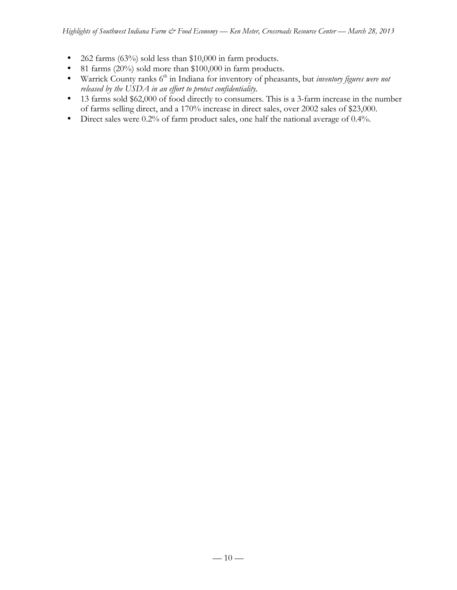- 262 farms (63%) sold less than \$10,000 in farm products.
- 81 farms (20%) sold more than \$100,000 in farm products.
- Warrick County ranks 6<sup>th</sup> in Indiana for inventory of pheasants, but *inventory figures were not released by the USDA in an effort to protect confidentiality.*
- 13 farms sold \$62,000 of food directly to consumers. This is a 3-farm increase in the number of farms selling direct, and a 170% increase in direct sales, over 2002 sales of \$23,000.
- Direct sales were 0.2% of farm product sales, one half the national average of 0.4%.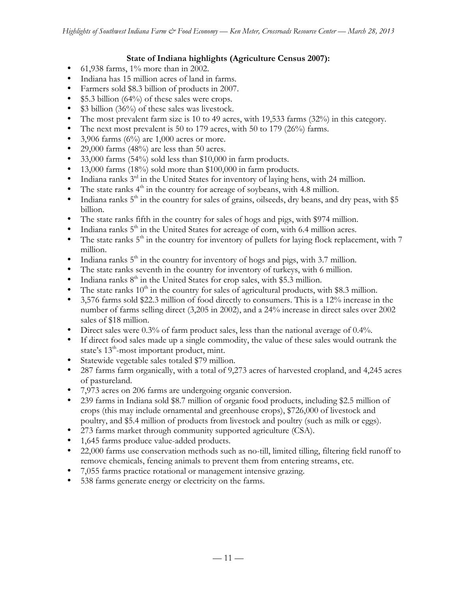### **State of Indiana highlights (Agriculture Census 2007):**

- 61,938 farms,  $1\%$  more than in 2002.
- Indiana has 15 million acres of land in farms.
- Farmers sold \$8.3 billion of products in 2007.
- $$5.3$  billion (64%) of these sales were crops.
- \$3 billion (36%) of these sales was livestock.
- The most prevalent farm size is 10 to 49 acres, with 19,533 farms (32%) in this category.
- The next most prevalent is 50 to 179 acres, with 50 to 179 (26%) farms.
- 3,906 farms  $(6\%)$  are 1,000 acres or more.
- 29,000 farms  $(48%)$  are less than 50 acres.
- 33,000 farms (54%) sold less than \$10,000 in farm products.
- 13,000 farms (18%) sold more than \$100,000 in farm products.
- Indiana ranks  $3<sup>rd</sup>$  in the United States for inventory of laying hens, with 24 million.
- The state ranks  $4<sup>th</sup>$  in the country for acreage of soybeans, with 4.8 million.
- Indiana ranks  $5<sup>th</sup>$  in the country for sales of grains, oilseeds, dry beans, and dry peas, with \$5 billion.
- The state ranks fifth in the country for sales of hogs and pigs, with \$974 million.
- Indiana ranks  $5<sup>th</sup>$  in the United States for acreage of corn, with 6.4 million acres.
- The state ranks  $5<sup>th</sup>$  in the country for inventory of pullets for laying flock replacement, with 7 million.
- Indiana ranks  $5<sup>th</sup>$  in the country for inventory of hogs and pigs, with 3.7 million.
- The state ranks seventh in the country for inventory of turkeys, with 6 million.
- Indiana ranks  $8<sup>th</sup>$  in the United States for crop sales, with \$5.3 million.
- The state ranks  $10<sup>th</sup>$  in the country for sales of agricultural products, with \$8.3 million.
- 3,576 farms sold \$22.3 million of food directly to consumers. This is a 12% increase in the number of farms selling direct (3,205 in 2002), and a 24% increase in direct sales over 2002 sales of \$18 million.
- Direct sales were 0.3% of farm product sales, less than the national average of 0.4%.
- If direct food sales made up a single commodity, the value of these sales would outrank the state's 13<sup>th</sup>-most important product, mint.
- Statewide vegetable sales totaled \$79 million.
- 287 farms farm organically, with a total of 9,273 acres of harvested cropland, and 4,245 acres of pastureland.
- 7,973 acres on 206 farms are undergoing organic conversion.
- 239 farms in Indiana sold \$8.7 million of organic food products, including \$2.5 million of crops (this may include ornamental and greenhouse crops), \$726,000 of livestock and poultry, and \$5.4 million of products from livestock and poultry (such as milk or eggs).
- 273 farms market through community supported agriculture (CSA).
- 1,645 farms produce value-added products.
- 22,000 farms use conservation methods such as no-till, limited tilling, filtering field runoff to remove chemicals, fencing animals to prevent them from entering streams, etc.
- 7,055 farms practice rotational or management intensive grazing.
- 538 farms generate energy or electricity on the farms.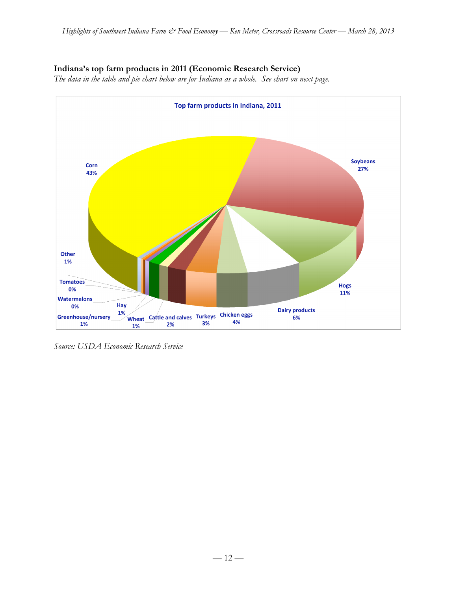## **Indiana's top farm products in 2011 (Economic Research Service)**

*The data in the table and pie chart below are for Indiana as a whole. See chart on next page.*



*Source: USDA Economic Research Service*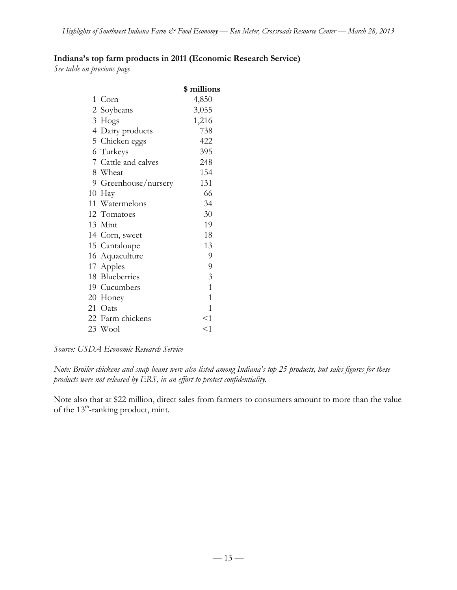## **Indiana's top farm products in 2011 (Economic Research Service)**

*See table on previous page*

|                      | \$ millions    |
|----------------------|----------------|
| 1 Corn               | 4,850          |
| 2 Soybeans           | 3,055          |
| 3 Hogs               | 1,216          |
| 4 Dairy products     | 738            |
| 5 Chicken eggs       | 422            |
| 6 Turkeys            | 395            |
| 7 Cattle and calves  | 248            |
| 8 Wheat              | 154            |
| 9 Greenhouse/nursery | 131            |
| 10 Hay               | 66             |
| 11 Watermelons       | 34             |
| 12 Tomatoes          | 30             |
| 13 Mint              | 19             |
| 14 Corn, sweet       | 18             |
| 15 Cantaloupe        | 13             |
| 16 Aquaculture       | 9              |
| 17 Apples            | 9              |
| 18 Blueberries       | $\mathfrak{Z}$ |
| 19 Cucumbers         | $\mathbf{1}$   |
| 20 Honey             | $\mathbf{1}$   |
| 21 Oats              | 1              |
| 22 Farm chickens     | <1             |
| 23 Wool              | $<$ 1          |

*Source: USDA Economic Research Service*

*Note: Broiler chickens and snap beans were also listed among Indiana's top 25 products, but sales figures for these products were not released by ERS, in an effort to protect confidentiality.*

Note also that at \$22 million, direct sales from farmers to consumers amount to more than the value of the  $13^{\text{th}}$ -ranking product, mint.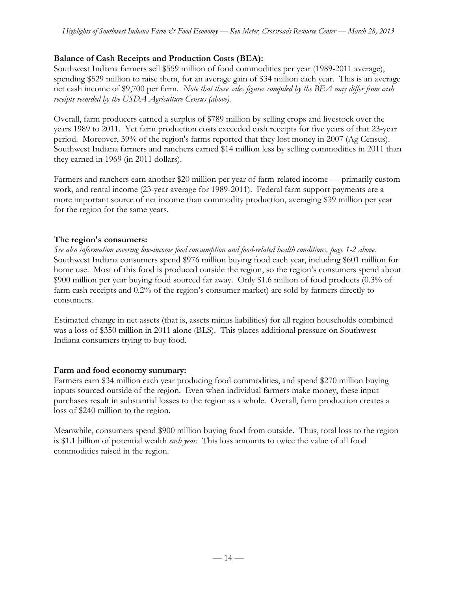## **Balance of Cash Receipts and Production Costs (BEA):**

Southwest Indiana farmers sell \$559 million of food commodities per year (1989-2011 average), spending \$529 million to raise them, for an average gain of \$34 million each year. This is an average net cash income of \$9,700 per farm. *Note that these sales figures compiled by the BEA may differ from cash receipts recorded by the USDA Agriculture Census (above).*

Overall, farm producers earned a surplus of \$789 million by selling crops and livestock over the years 1989 to 2011. Yet farm production costs exceeded cash receipts for five years of that 23-year period. Moreover, 39% of the region's farms reported that they lost money in 2007 (Ag Census). Southwest Indiana farmers and ranchers earned \$14 million less by selling commodities in 2011 than they earned in 1969 (in 2011 dollars).

Farmers and ranchers earn another \$20 million per year of farm-related income — primarily custom work, and rental income (23-year average for 1989-2011). Federal farm support payments are a more important source of net income than commodity production, averaging \$39 million per year for the region for the same years.

## **The region's consumers:**

*See also information covering low-income food consumption and food-related health conditions, page 1-2 above.* Southwest Indiana consumers spend \$976 million buying food each year, including \$601 million for home use. Most of this food is produced outside the region, so the region's consumers spend about \$900 million per year buying food sourced far away. Only \$1.6 million of food products (0.3% of farm cash receipts and 0.2% of the region's consumer market) are sold by farmers directly to consumers.

Estimated change in net assets (that is, assets minus liabilities) for all region households combined was a loss of \$350 million in 2011 alone (BLS). This places additional pressure on Southwest Indiana consumers trying to buy food.

#### **Farm and food economy summary:**

Farmers earn \$34 million each year producing food commodities, and spend \$270 million buying inputs sourced outside of the region. Even when individual farmers make money, these input purchases result in substantial losses to the region as a whole. Overall, farm production creates a loss of \$240 million to the region.

Meanwhile, consumers spend \$900 million buying food from outside. Thus, total loss to the region is \$1.1 billion of potential wealth *each year*. This loss amounts to twice the value of all food commodities raised in the region.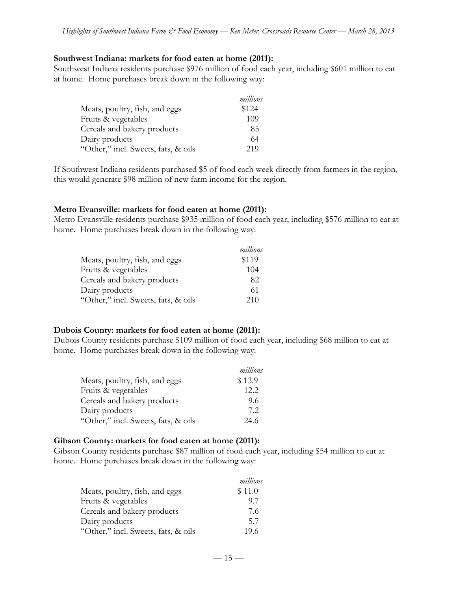#### **Southwest Indiana: markets for food eaten at home (2011):**

Southwest Indiana residents purchase \$976 million of food each year, including \$601 million to eat at home. Home purchases break down in the following way:

|                                     | millions |
|-------------------------------------|----------|
| Meats, poultry, fish, and eggs      | \$124    |
| Fruits & vegetables                 | 109      |
| Cereals and bakery products         | 85       |
| Dairy products                      | 64       |
| "Other," incl. Sweets, fats, & oils | 219      |

If Southwest Indiana residents purchased \$5 of food each week directly from farmers in the region, this would generate \$98 million of new farm income for the region.

#### **Metro Evansville: markets for food eaten at home (2011):**

Metro Evansville residents purchase \$935 million of food each year, including \$576 million to eat at home. Home purchases break down in the following way:

|                                     | millions |
|-------------------------------------|----------|
| Meats, poultry, fish, and eggs      | \$119    |
| Fruits & vegetables                 | 104      |
| Cereals and bakery products         | 82       |
| Dairy products                      | 61       |
| "Other," incl. Sweets, fats, & oils | 210      |

#### **Dubois County: markets for food eaten at home (2011):**

Dubois County residents purchase \$109 million of food each year, including \$68 million to eat at home. Home purchases break down in the following way:

|                                     | millions |
|-------------------------------------|----------|
| Meats, poultry, fish, and eggs      | \$13.9   |
| Fruits & vegetables                 | 12.2     |
| Cereals and bakery products         | 9.6      |
| Dairy products                      | 72       |
| "Other," incl. Sweets, fats, & oils | 24.6     |

#### **Gibson County: markets for food eaten at home (2011):**

Gibson County residents purchase \$87 million of food each year, including \$54 million to eat at home. Home purchases break down in the following way:

|                                     | millions |
|-------------------------------------|----------|
| Meats, poultry, fish, and eggs      | \$11.0   |
| Fruits & vegetables                 | 97       |
| Cereals and bakery products         | 7.6      |
| Dairy products                      | 5.7      |
| "Other," incl. Sweets, fats, & oils | 19.6     |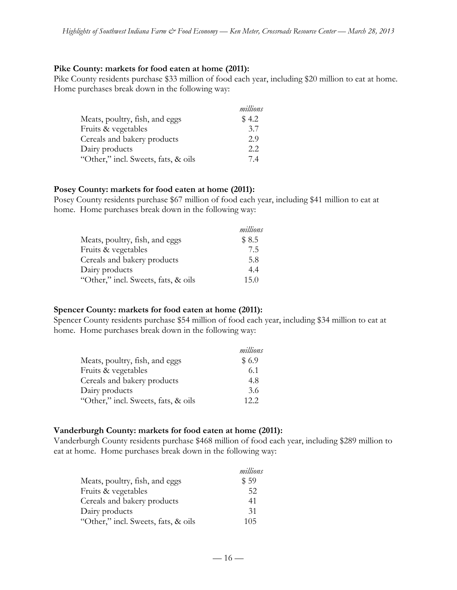#### **Pike County: markets for food eaten at home (2011):**

Pike County residents purchase \$33 million of food each year, including \$20 million to eat at home. Home purchases break down in the following way:

|                                     | millions |
|-------------------------------------|----------|
| Meats, poultry, fish, and eggs      | \$4.2    |
| Fruits & vegetables                 | 3.7      |
| Cereals and bakery products         | 2.9      |
| Dairy products                      | 2.2      |
| "Other," incl. Sweets, fats, & oils | 74       |

#### **Posey County: markets for food eaten at home (2011):**

Posey County residents purchase \$67 million of food each year, including \$41 million to eat at home. Home purchases break down in the following way:

|                                     | millions |
|-------------------------------------|----------|
| Meats, poultry, fish, and eggs      | \$8.5    |
| Fruits & vegetables                 | 7.5      |
| Cereals and bakery products         | 5.8      |
| Dairy products                      | 4.4      |
| "Other," incl. Sweets, fats, & oils | 15.0     |

#### **Spencer County: markets for food eaten at home (2011):**

Spencer County residents purchase \$54 million of food each year, including \$34 million to eat at home. Home purchases break down in the following way:

|                                     | millions |
|-------------------------------------|----------|
| Meats, poultry, fish, and eggs      | \$6.9    |
| Fruits & vegetables                 | 6.1      |
| Cereals and bakery products         | 4.8      |
| Dairy products                      | 3.6      |
| "Other," incl. Sweets, fats, & oils | 12.2     |

#### **Vanderburgh County: markets for food eaten at home (2011):**

Vanderburgh County residents purchase \$468 million of food each year, including \$289 million to eat at home. Home purchases break down in the following way:

|                                     | millions |
|-------------------------------------|----------|
| Meats, poultry, fish, and eggs      | \$59     |
| Fruits & vegetables                 | 52       |
| Cereals and bakery products         | 41       |
| Dairy products                      | 31       |
| "Other," incl. Sweets, fats, & oils | 105      |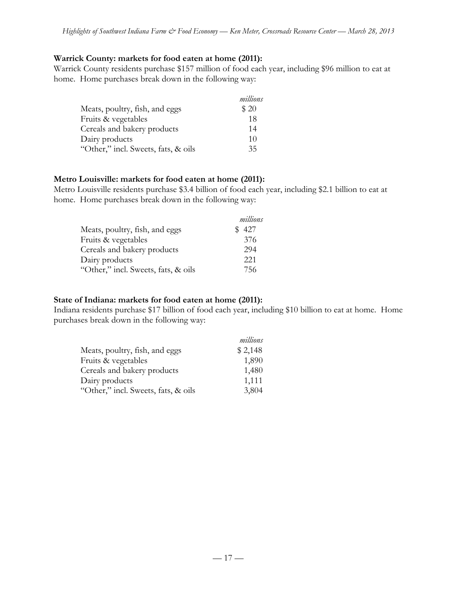#### **Warrick County: markets for food eaten at home (2011):**

Warrick County residents purchase \$157 million of food each year, including \$96 million to eat at home. Home purchases break down in the following way:

|                                     | millions |
|-------------------------------------|----------|
| Meats, poultry, fish, and eggs      | \$20     |
| Fruits & vegetables                 | 18       |
| Cereals and bakery products         | 14       |
| Dairy products                      | 10       |
| "Other," incl. Sweets, fats, & oils | 35       |

#### **Metro Louisville: markets for food eaten at home (2011):**

Metro Louisville residents purchase \$3.4 billion of food each year, including \$2.1 billion to eat at home. Home purchases break down in the following way:

|                                     | millions |
|-------------------------------------|----------|
| Meats, poultry, fish, and eggs      | 427      |
| Fruits & vegetables                 | 376      |
| Cereals and bakery products         | 294      |
| Dairy products                      | 221      |
| "Other," incl. Sweets, fats, & oils | 756      |

#### **State of Indiana: markets for food eaten at home (2011):**

Indiana residents purchase \$17 billion of food each year, including \$10 billion to eat at home. Home purchases break down in the following way:

|                                     | millions |
|-------------------------------------|----------|
| Meats, poultry, fish, and eggs      | \$2,148  |
| Fruits & vegetables                 | 1,890    |
| Cereals and bakery products         | 1,480    |
| Dairy products                      | 1,111    |
| "Other," incl. Sweets, fats, & oils | 3,804    |